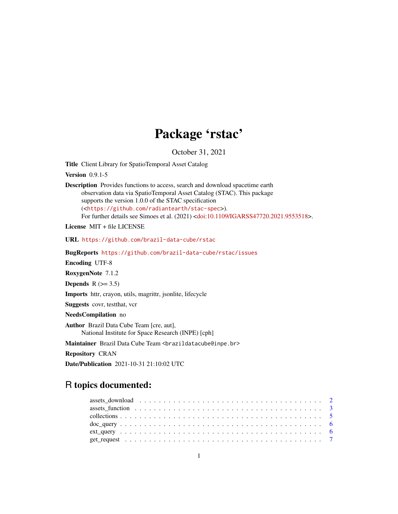# Package 'rstac'

October 31, 2021

<span id="page-0-0"></span>Title Client Library for SpatioTemporal Asset Catalog

Version 0.9.1-5

Description Provides functions to access, search and download spacetime earth observation data via SpatioTemporal Asset Catalog (STAC). This package supports the version 1.0.0 of the STAC specification (<<https://github.com/radiantearth/stac-spec>>). For further details see Simoes et al. (2021) [<doi:10.1109/IGARSS47720.2021.9553518>](https://doi.org/10.1109/IGARSS47720.2021.9553518).

License MIT + file LICENSE

URL <https://github.com/brazil-data-cube/rstac>

BugReports <https://github.com/brazil-data-cube/rstac/issues>

Encoding UTF-8

RoxygenNote 7.1.2

Depends  $R (=3.5)$ 

Imports httr, crayon, utils, magrittr, jsonlite, lifecycle

Suggests covr, testthat, vcr

NeedsCompilation no

Author Brazil Data Cube Team [cre, aut], National Institute for Space Research (INPE) [cph]

Maintainer Brazil Data Cube Team <br />brazildatacube@inpe.br>

Repository CRAN

Date/Publication 2021-10-31 21:10:02 UTC

# R topics documented:

| $\text{doc\_query} \dots \dots \dots \dots \dots \dots \dots \dots \dots \dots \dots \dots \dots \dots \dots \dots$ |  |
|---------------------------------------------------------------------------------------------------------------------|--|
|                                                                                                                     |  |
|                                                                                                                     |  |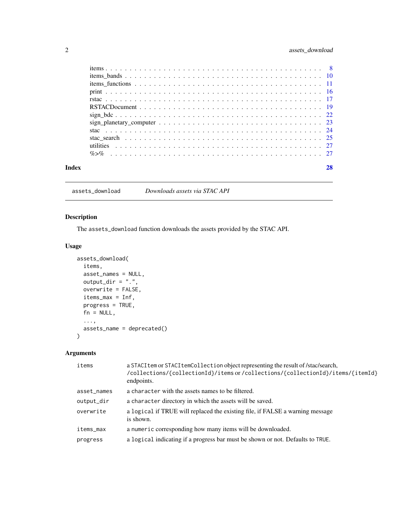# <span id="page-1-0"></span>2 assets\_download

|       | stac search $\ldots$ , $\ldots$ , $\ldots$ , $\ldots$ , $\ldots$ , $\ldots$ , $\ldots$ , $\ldots$ , $\ldots$ , $\ldots$ , $\ldots$ , $\ldots$ , $\frac{25}{25}$ |  |
|-------|-----------------------------------------------------------------------------------------------------------------------------------------------------------------|--|
|       |                                                                                                                                                                 |  |
|       |                                                                                                                                                                 |  |
| Index |                                                                                                                                                                 |  |

<span id="page-1-1"></span>assets\_download *Downloads assets via STAC API*

# Description

The assets\_download function downloads the assets provided by the STAC API.

# Usage

```
assets_download(
 items,
  asset_names = NULL,
 output\_dir = "."overwrite = FALSE,
  items_max = Inf,
 progress = TRUE,
  fn = NULL,...,
  assets_name = deprecated()
)
```
# Arguments

| items       | a STACI tem or STACI tem Collection object representing the result of /stac/search,<br>/collections/{collectionId}/items or /collections/{collectionId}/items/{itemId}<br>endpoints. |
|-------------|--------------------------------------------------------------------------------------------------------------------------------------------------------------------------------------|
| asset_names | a character with the assets names to be filtered.                                                                                                                                    |
| output_dir  | a character directory in which the assets will be saved.                                                                                                                             |
| overwrite   | a logical if TRUE will replaced the existing file, if FALSE a warning message<br>is shown.                                                                                           |
| items_max   | a numeric corresponding how many items will be downloaded.                                                                                                                           |
| progress    | a logical indicating if a progress bar must be shown or not. Defaults to TRUE.                                                                                                       |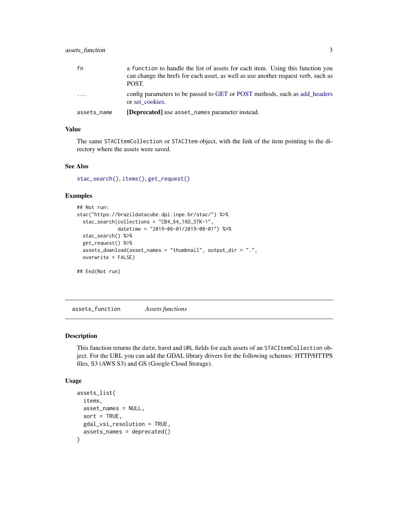<span id="page-2-0"></span>

| fn          | a function to handle the list of assets for each item. Using this function you<br>can change the hrefs for each asset, as well as use another request verb, such as<br>POST. |
|-------------|------------------------------------------------------------------------------------------------------------------------------------------------------------------------------|
| $\cdots$    | config parameters to be passed to GET or POST methods, such as add headers<br>or set_cookies.                                                                                |
| assets_name | [Deprecated] use asset_names parameter instead.                                                                                                                              |

# Value

The same STACItemCollection or STACItem object, with the link of the item pointing to the directory where the assets were saved.

#### See Also

[stac\\_search\(\)](#page-24-1), [items\(\)](#page-7-1), [get\\_request\(\)](#page-6-1)

# Examples

```
## Not run:
stac("https://brazildatacube.dpi.inpe.br/stac/") %>%
 stac_search(collections = "CB4_64_16D_STK-1",
              datetime = "2019-06-01/2019-08-01") %>%
 stac_search() %>%
 get_request() %>%
 assets_download(asset_names = "thumbnail", output_dir = ".",
 overwrite = FALSE)
```
## End(Not run)

assets\_function *Assets functions*

#### Description

This function returns the date, band and URL fields for each assets of an STACItemCollection object. For the URL you can add the GDAL library drivers for the following schemes: HTTP/HTTPS files, S3 (AWS S3) and GS (Google Cloud Storage).

#### Usage

```
assets_list(
  items,
 asset_names = NULL,
 sort = TRUE,
 gdal_vsi_resolution = TRUE,
  assets_names = deprecated()
)
```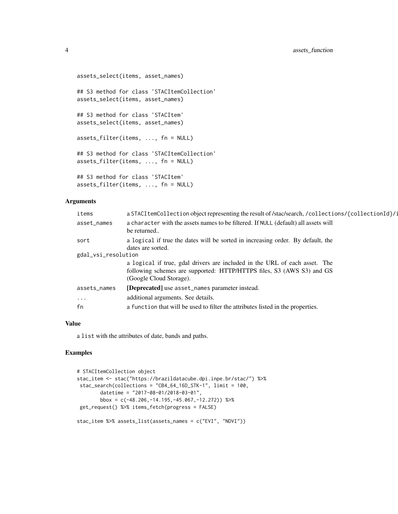```
assets_select(items, asset_names)
## S3 method for class 'STACItemCollection'
assets_select(items, asset_names)
## S3 method for class 'STACItem'
assets_select(items, asset_names)
assets_filter(items, ..., fn = NULL)
## S3 method for class 'STACItemCollection'
assets_filter(items, ..., fn = NULL)
## S3 method for class 'STACItem'
assets_filter(items, ..., fn = NULL)
```
#### Arguments

| items               | a STACI temCollection object representing the result of /stac/search, /collections/{collectionId}/j                                                                            |
|---------------------|--------------------------------------------------------------------------------------------------------------------------------------------------------------------------------|
| asset_names         | a character with the assets names to be filtered. If NULL (default) all assets will<br>be returned                                                                             |
| sort                | a logical if true the dates will be sorted in increasing order. By default, the<br>dates are sorted.                                                                           |
| gdal_vsi_resolution |                                                                                                                                                                                |
|                     | a logical if true, gdal drivers are included in the URL of each asset. The<br>following schemes are supported: HTTP/HTTPS files, S3 (AWS S3) and GS<br>(Google Cloud Storage). |
| assets_names        | [Deprecated] use asset_names parameter instead.                                                                                                                                |
| $\cdots$            | additional arguments. See details.                                                                                                                                             |
| fn                  | a function that will be used to filter the attributes listed in the properties.                                                                                                |
|                     |                                                                                                                                                                                |

### Value

a list with the attributes of date, bands and paths.

# Examples

```
# STACItemCollection object
stac_item <- stac("https://brazildatacube.dpi.inpe.br/stac/") %>%
stac_search(collections = "CB4_64_16D_STK-1", limit = 100,
       datetime = "2017-08-01/2018-03-01",
       bbox = c(-48.206, -14.195, -45.067, -12.272) %>%
get_request() %>% items_fetch(progress = FALSE)
stac_item %>% assets_list(assets_names = c("EVI", "NDVI"))
```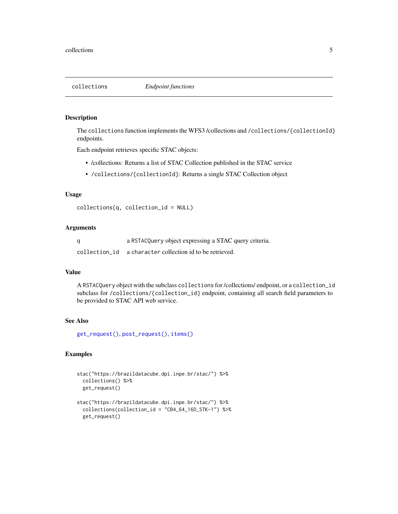<span id="page-4-1"></span><span id="page-4-0"></span>

The collections function implements the WFS3 /collections and /collections/{collectionId} endpoints.

Each endpoint retrieves specific STAC objects:

- /collections: Returns a list of STAC Collection published in the STAC service
- /collections/{collectionId}: Returns a single STAC Collection object

#### Usage

```
collections(q, collection_id = NULL)
```
#### Arguments

| a RSTACQuery object expressing a STAC query criteria.    |
|----------------------------------------------------------|
| collection id a character collection id to be retrieved. |

# Value

A RSTACQuery object with the subclass collections for /collections/ endpoint, or a collection\_id subclass for /collections/{collection\_id} endpoint, containing all search field parameters to be provided to STAC API web service.

#### See Also

[get\\_request\(\)](#page-6-1), [post\\_request\(\)](#page-6-2), [items\(\)](#page-7-1)

### Examples

```
stac("https://brazildatacube.dpi.inpe.br/stac/") %>%
 collections() %>%
 get_request()
stac("https://brazildatacube.dpi.inpe.br/stac/") %>%
 collections(collection_id = "CB4_64_16D_STK-1") %>%
 get_request()
```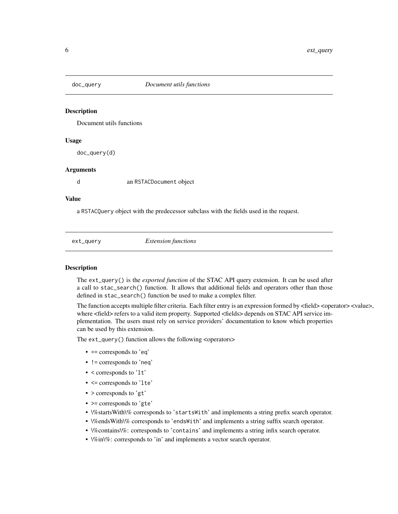<span id="page-5-0"></span>

Document utils functions

#### Usage

doc\_query(d)

#### Arguments

d an RSTACDocument object

#### Value

a RSTACQuery object with the predecessor subclass with the fields used in the request.

<span id="page-5-1"></span>ext\_query *Extension functions*

### Description

The ext\_query() is the *exported function* of the STAC API query extension. It can be used after a call to stac\_search() function. It allows that additional fields and operators other than those defined in stac\_search() function be used to make a complex filter.

The function accepts multiple filter criteria. Each filter entry is an expression formed by  $\lt$  field>  $\lt$  operator>  $\lt$  value>, where <field> refers to a valid item property. Supported <fields> depends on STAC API service implementation. The users must rely on service providers' documentation to know which properties can be used by this extension.

The ext\_query() function allows the following <operators>

- == corresponds to 'eq'
- != corresponds to 'neq'
- < corresponds to 'lt'
- <= corresponds to 'lte'
- > corresponds to 'gt'
- >= corresponds to 'gte'
- \%startsWith\% corresponds to 'startsWith' and implements a string prefix search operator.
- \%endsWith\% corresponds to 'endsWith' and implements a string suffix search operator.
- \%contains\%: corresponds to 'contains' and implements a string infix search operator.
- \%in\%: corresponds to 'in' and implements a vector search operator.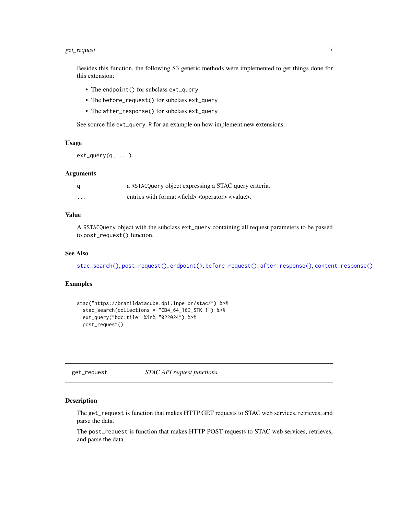# <span id="page-6-0"></span>get\_request 7

Besides this function, the following S3 generic methods were implemented to get things done for this extension:

- The endpoint() for subclass ext\_query
- The before\_request() for subclass ext\_query
- The after\_response() for subclass ext\_query

See source file ext\_query.R for an example on how implement new extensions.

# Usage

 $ext_{query}(q, \ldots)$ 

#### Arguments

| a | a RSTACQuery object expressing a STAC query criteria.                      |
|---|----------------------------------------------------------------------------|
| . | entries with format <field> <operator> <value>.</value></operator></field> |

# Value

A RSTACQuery object with the subclass ext\_query containing all request parameters to be passed to post\_request() function.

## See Also

[stac\\_search\(\)](#page-24-1), [post\\_request\(\)](#page-6-2), [endpoint\(\)](#page-18-1), [before\\_request\(\)](#page-18-1), [after\\_response\(\)](#page-18-1), [content\\_response\(\)](#page-18-1)

#### Examples

```
stac("https://brazildatacube.dpi.inpe.br/stac/") %>%
 stac_search(collections = "CB4_64_16D_STK-1") %>%
 ext_query("bdc:tile" %in% "022024") %>%
 post_request()
```
<span id="page-6-1"></span>get\_request *STAC API request functions*

#### <span id="page-6-2"></span>Description

The get\_request is function that makes HTTP GET requests to STAC web services, retrieves, and parse the data.

The post\_request is function that makes HTTP POST requests to STAC web services, retrieves, and parse the data.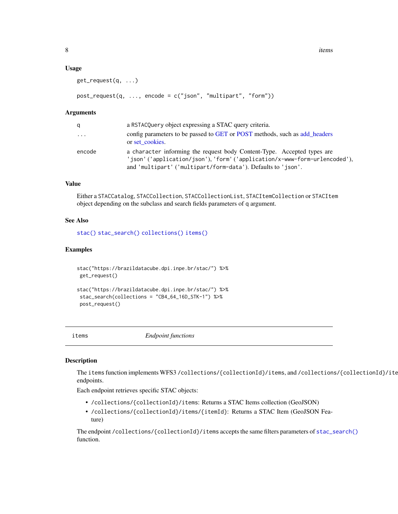<span id="page-7-0"></span>8 items and the state of the state of the state of the state of the state of the state of the state of the state of the state of the state of the state of the state of the state of the state of the state of the state of th

#### Usage

```
get_request(q, ...)
```
# post\_request(q, ..., encode = c("json", "multipart", "form"))

#### Arguments

| q      | a RSTACQuery object expressing a STAC query criteria.                                                                                                                                                               |
|--------|---------------------------------------------------------------------------------------------------------------------------------------------------------------------------------------------------------------------|
| .      | config parameters to be passed to GET or POST methods, such as add headers<br>or set_cookies.                                                                                                                       |
| encode | a character informing the request body Content-Type. Accepted types are<br>'json'('application/json'), 'form'('application/x-www-form-urlencoded'),<br>and 'multipart' ('multipart/form-data'). Defaults to 'json'. |

# Value

Either a STACCatalog, STACCollection, STACCollectionList, STACItemCollection or STACItem object depending on the subclass and search fields parameters of q argument.

#### See Also

[stac\(\)](#page-23-1) [stac\\_search\(\)](#page-24-1) [collections\(\)](#page-4-1) [items\(\)](#page-7-1)

#### Examples

```
stac("https://brazildatacube.dpi.inpe.br/stac/") %>%
get_request()
stac("https://brazildatacube.dpi.inpe.br/stac/") %>%
stac_search(collections = "CB4_64_16D_STK-1") %>%
post_request()
```
<span id="page-7-1"></span>items *Endpoint functions*

# Description

The items function implements WFS3/collections/{collectionId}/items, and/collections/{collectionId}/ite endpoints.

Each endpoint retrieves specific STAC objects:

- /collections/{collectionId}/items: Returns a STAC Items collection (GeoJSON)
- /collections/{collectionId}/items/{itemId}: Returns a STAC Item (GeoJSON Feature)

The endpoint /collections/{collectionId}/items accepts the same filters parameters of [stac\\_search\(\)](#page-24-1) function.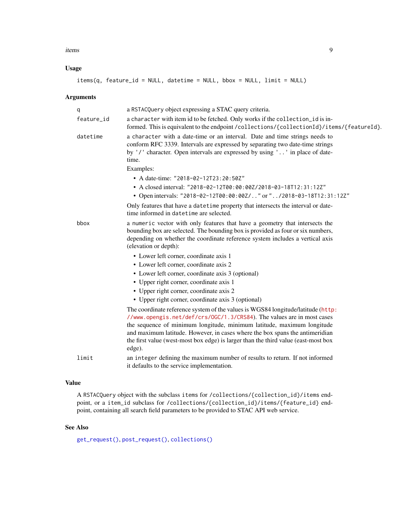#### <span id="page-8-0"></span>items 9

# Usage

items(q, feature\_id = NULL, datetime = NULL, bbox = NULL, limit = NULL)

# Arguments

| q          | a RSTACQuery object expressing a STAC query criteria.                                                                                                                                                                                                                                                                                                                                                                |
|------------|----------------------------------------------------------------------------------------------------------------------------------------------------------------------------------------------------------------------------------------------------------------------------------------------------------------------------------------------------------------------------------------------------------------------|
| feature_id | a character with item id to be fetched. Only works if the collection_id is in-<br>formed. This is equivalent to the endpoint /collections/{collectionId}/items/{featureId}.                                                                                                                                                                                                                                          |
| datetime   | a character with a date-time or an interval. Date and time strings needs to<br>conform RFC 3339. Intervals are expressed by separating two date-time strings<br>by '/' character. Open intervals are expressed by using '' in place of date-<br>time.<br>Examples:                                                                                                                                                   |
|            | • A date-time: "2018-02-12T23:20:50Z"                                                                                                                                                                                                                                                                                                                                                                                |
|            | • A closed interval: "2018-02-12T00:00:00Z/2018-03-18T12:31:12Z"                                                                                                                                                                                                                                                                                                                                                     |
|            | • Open intervals: "2018-02-12T00:00:00Z/" or "/2018-03-18T12:31:12Z"                                                                                                                                                                                                                                                                                                                                                 |
|            | Only features that have a datetime property that intersects the interval or date-<br>time informed in datetime are selected.                                                                                                                                                                                                                                                                                         |
| bbox       | a numeric vector with only features that have a geometry that intersects the<br>bounding box are selected. The bounding box is provided as four or six numbers,<br>depending on whether the coordinate reference system includes a vertical axis<br>(elevation or depth):                                                                                                                                            |
|            | • Lower left corner, coordinate axis 1                                                                                                                                                                                                                                                                                                                                                                               |
|            | • Lower left corner, coordinate axis 2                                                                                                                                                                                                                                                                                                                                                                               |
|            | • Lower left corner, coordinate axis 3 (optional)                                                                                                                                                                                                                                                                                                                                                                    |
|            | • Upper right corner, coordinate axis 1                                                                                                                                                                                                                                                                                                                                                                              |
|            | • Upper right corner, coordinate axis 2                                                                                                                                                                                                                                                                                                                                                                              |
|            | • Upper right corner, coordinate axis 3 (optional)                                                                                                                                                                                                                                                                                                                                                                   |
|            | The coordinate reference system of the values is WGS84 longitude/latitude (http:<br>//www.opengis.net/def/crs/0GC/1.3/CRS84). The values are in most cases<br>the sequence of minimum longitude, minimum latitude, maximum longitude<br>and maximum latitude. However, in cases where the box spans the antimeridian<br>the first value (west-most box edge) is larger than the third value (east-most box<br>edge). |
| limit      | an integer defining the maximum number of results to return. If not informed<br>it defaults to the service implementation.                                                                                                                                                                                                                                                                                           |

# Value

A RSTACQuery object with the subclass items for /collections/{collection\_id}/items endpoint, or a item\_id subclass for /collections/{collection\_id}/items/{feature\_id} endpoint, containing all search field parameters to be provided to STAC API web service.

# See Also

[get\\_request\(\)](#page-6-1), [post\\_request\(\)](#page-6-2), [collections\(\)](#page-4-1)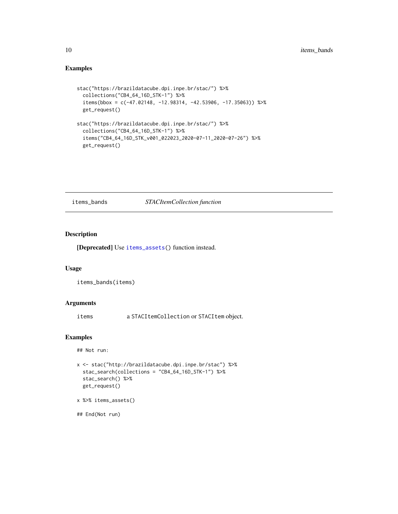# Examples

```
stac("https://brazildatacube.dpi.inpe.br/stac/") %>%
 collections("CB4_64_16D_STK-1") %>%
 items(bbox = c(-47.02148, -12.98314, -42.53906, -17.35063)) %>%
 get_request()
stac("https://brazildatacube.dpi.inpe.br/stac/") %>%
 collections("CB4_64_16D_STK-1") %>%
 items("CB4_64_16D_STK_v001_022023_2020-07-11_2020-07-26") %>%
 get_request()
```
items\_bands *STACItemCollection function*

# Description

[Deprecated] Use [items\\_assets\(](#page-10-1)) function instead.

#### Usage

items\_bands(items)

# Arguments

items a STACItemCollection or STACItem object.

# Examples

## Not run:

```
x <- stac("http://brazildatacube.dpi.inpe.br/stac") %>%
 stac_search(collections = "CB4_64_16D_STK-1") %>%
 stac_search() %>%
 get_request()
```

```
x %>% items_assets()
```
## End(Not run)

<span id="page-9-0"></span>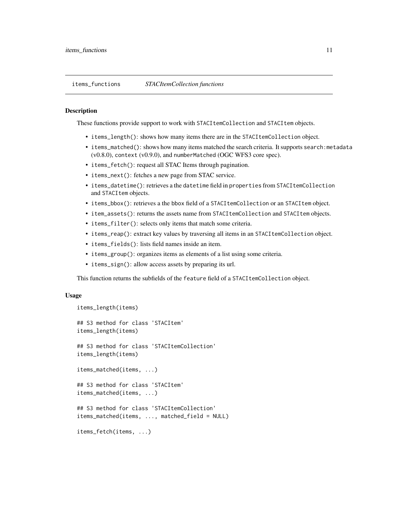<span id="page-10-1"></span><span id="page-10-0"></span>

These functions provide support to work with STACItemCollection and STACItem objects.

- items\_length(): shows how many items there are in the STACItemCollection object.
- items\_matched(): shows how many items matched the search criteria. It supports search:metadata (v0.8.0), context (v0.9.0), and numberMatched (OGC WFS3 core spec).
- items\_fetch(): request all STAC Items through pagination.
- items\_next(): fetches a new page from STAC service.
- items\_datetime(): retrieves a the datetime field in properties from STACItemCollection and STACI tem objects.
- items\_bbox(): retrieves a the bbox field of a STACItemCollection or an STACItem object.
- item\_assets(): returns the assets name from STACItemCollection and STACItem objects.
- items\_filter(): selects only items that match some criteria.
- items\_reap(): extract key values by traversing all items in an STACItemCollection object.
- items\_fields(): lists field names inside an item.
- items\_group(): organizes items as elements of a list using some criteria.
- items\_sign(): allow access assets by preparing its url.

This function returns the subfields of the feature field of a STACItemCollection object.

#### Usage

```
items_length(items)
## S3 method for class 'STACItem'
items_length(items)
## S3 method for class 'STACItemCollection'
items_length(items)
items_matched(items, ...)
## S3 method for class 'STACItem'
items_matched(items, ...)
## S3 method for class 'STACItemCollection'
items_matched(items, ..., matched_field = NULL)
items_fetch(items, ...)
```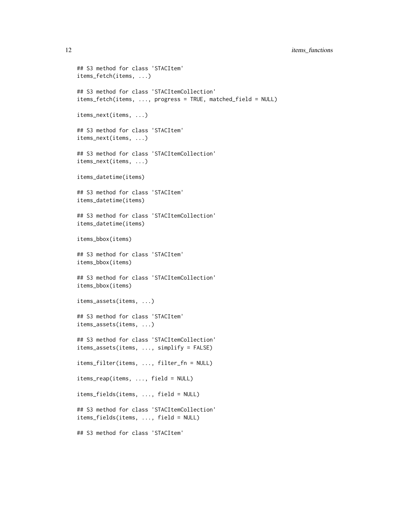#### 12 items\_functions

```
## S3 method for class 'STACItem'
items_fetch(items, ...)
## S3 method for class 'STACItemCollection'
items_fetch(items, ..., progress = TRUE, matched_field = NULL)
items_next(items, ...)
## S3 method for class 'STACItem'
items_next(items, ...)
## S3 method for class 'STACItemCollection'
items_next(items, ...)
items_datetime(items)
## S3 method for class 'STACItem'
items_datetime(items)
## S3 method for class 'STACItemCollection'
items_datetime(items)
items_bbox(items)
## S3 method for class 'STACItem'
items_bbox(items)
## S3 method for class 'STACItemCollection'
items_bbox(items)
items_assets(items, ...)
## S3 method for class 'STACItem'
items_assets(items, ...)
## S3 method for class 'STACItemCollection'
items_assets(items, ..., simplify = FALSE)
items_filter(items, ..., filter_fn = NULL)
items_reap(items, ..., field = NULL)
items_fields(items, ..., field = NULL)
## S3 method for class 'STACItemCollection'
items_fields(items, ..., field = NULL)
## S3 method for class 'STACItem'
```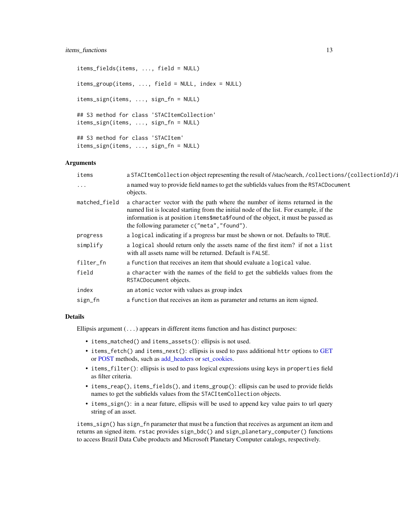# <span id="page-12-0"></span>items\_functions 13

```
items_fields(items, ..., field = NULL)
items_group(items, ..., field = NULL, index = NULL)
items_sign(items, ..., sign_fn = NULL)
## S3 method for class 'STACItemCollection'
items_sign(items, ..., sign_fn = NULL)
## S3 method for class 'STACItem'
items_sign(items, ..., sign_fn = NULL)
```
# Arguments

| items         | a STACI temCollection object representing the result of /stac/search, /collections/{collectionId}/j                                                                                                                                                                                                     |
|---------------|---------------------------------------------------------------------------------------------------------------------------------------------------------------------------------------------------------------------------------------------------------------------------------------------------------|
| $\ddots$ .    | a named way to provide field names to get the subfields values from the RSTACD ocument<br>objects.                                                                                                                                                                                                      |
| matched_field | a character vector with the path where the number of items returned in the<br>named list is located starting from the initial node of the list. For example, if the<br>information is at position items\$meta\$found of the object, it must be passed as<br>the following parameter c("meta", "found"). |
| progress      | a logical indicating if a progress bar must be shown or not. Defaults to TRUE.                                                                                                                                                                                                                          |
| simplify      | a logical should return only the assets name of the first item? if not a list<br>with all assets name will be returned. Default is FALSE.                                                                                                                                                               |
| filter_fn     | a function that receives an item that should evaluate a logical value.                                                                                                                                                                                                                                  |
| field         | a character with the names of the field to get the subfields values from the<br>RSTACDocument objects.                                                                                                                                                                                                  |
| index         | an atomic vector with values as group index                                                                                                                                                                                                                                                             |
| sign_fn       | a function that receives an item as parameter and returns an item signed.                                                                                                                                                                                                                               |
|               |                                                                                                                                                                                                                                                                                                         |

#### Details

Ellipsis argument  $(\ldots)$  appears in different items function and has distinct purposes:

- items\_matched() and items\_assets(): ellipsis is not used.
- items\_fetch() and items\_next(): ellipsis is used to pass additional httr options to [GET](#page-0-0) or [POST](#page-0-0) methods, such as [add\\_headers](#page-0-0) or [set\\_cookies.](#page-0-0)
- items\_filter(): ellipsis is used to pass logical expressions using keys in properties field as filter criteria.
- items\_reap(), items\_fields(), and items\_group(): ellipsis can be used to provide fields names to get the subfields values from the STACItemCollection objects.
- items\_sign(): in a near future, ellipsis will be used to append key value pairs to url query string of an asset.

items\_sign() has sign\_fn parameter that must be a function that receives as argument an item and returns an signed item. rstac provides sign\_bdc() and sign\_planetary\_computer() functions to access Brazil Data Cube products and Microsoft Planetary Computer catalogs, respectively.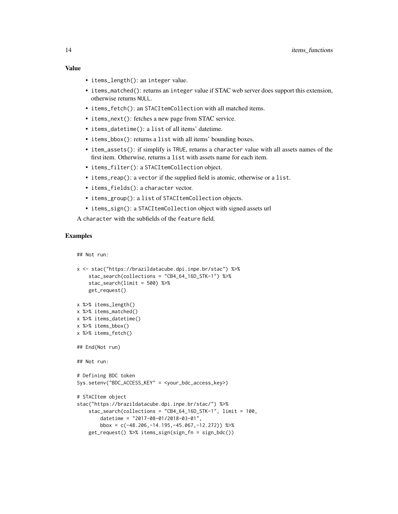- items\_length(): an integer value.
- items\_matched(): returns an integer value if STAC web server does support this extension, otherwise returns NULL.
- items\_fetch(): an STACItemCollection with all matched items.
- items\_next(): fetches a new page from STAC service.
- items\_datetime(): a list of all items' datetime.
- items\_bbox(): returns a list with all items' bounding boxes.
- item\_assets(): if simplify is TRUE, returns a character value with all assets names of the first item. Otherwise, returns a list with assets name for each item.
- items\_filter(): a STACItemCollection object.
- items\_reap(): a vector if the supplied field is atomic, otherwise or a list.
- items\_fields(): a character vector.
- items\_group(): a list of STACItemCollection objects.
- items\_sign(): a STACItemCollection object with signed assets url

A character with the subfields of the feature field.

#### Examples

## Not run:

```
x <- stac("https://brazildatacube.dpi.inpe.br/stac") %>%
    stac_search(collections = "CB4_64_16D_STK-1") %>%
    stac_search(limit = 500) %>%
   get_request()
x %>% items_length()
x %>% items_matched()
x %>% items_datetime()
x %>% items_bbox()
x %>% items_fetch()
## End(Not run)
## Not run:
# Defining BDC token
Sys.setenv("BDC_ACCESS_KEY" = <your_bdc_access_key>)
# STACItem object
stac("https://brazildatacube.dpi.inpe.br/stac/") %>%
    stac_search(collections = "CB4_64_16D_STK-1", limit = 100,
        datetime = "2017-08-01/2018-03-01",
        bbox = c(-48.206, -14.195, -45.067, -12.272) %>%
    get_request() %>% items_sign(sign_fn = sign_bdc())
```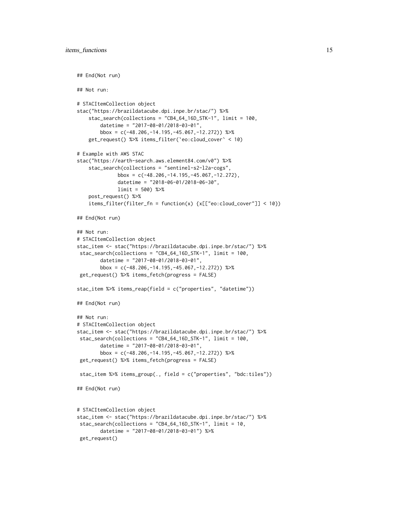```
## End(Not run)
## Not run:
# STACItemCollection object
stac("https://brazildatacube.dpi.inpe.br/stac/") %>%
    stac_search(collections = "CB4_64_16D_STK-1", limit = 100,
        datetime = "2017-08-01/2018-03-01",
        bbox = c(-48.206, -14.195, -45.067, -12.272) %>%
    get_request() %>% items_filter(`eo:cloud_cover` < 10)
# Example with AWS STAC
stac("https://earth-search.aws.element84.com/v0") %>%
    stac_search(collections = "sentinel-s2-l2a-cogs",
              bbox = c(-48.206, -14.195, -45.067, -12.272),
              datetime = "2018-06-01/2018-06-30",
             limit = 500) %>%
    post_request() %>%
    items_filter(filter_fn = function(x) {x[["eo:cloud_cover"]] < 10})
## End(Not run)
## Not run:
# STACItemCollection object
stac_item <- stac("https://brazildatacube.dpi.inpe.br/stac/") %>%
stac_search(collections = "CB4_64_16D_STK-1", limit = 100,
        datetime = "2017-08-01/2018-03-01",
        bbox = c(-48.206, -14.195, -45.067, -12.272) %>%
get_request() %>% items_fetch(progress = FALSE)
stac_item %>% items_reap(field = c("properties", "datetime"))
## End(Not run)
## Not run:
# STACItemCollection object
stac_item <- stac("https://brazildatacube.dpi.inpe.br/stac/") %>%
stac_search(collections = "CB4_64_16D_STK-1", limit = 100,
        datetime = "2017-08-01/2018-03-01",
        bbox = c(-48.206, -14.195, -45.067, -12.272) %>%
 get_request() %>% items_fetch(progress = FALSE)
 stac_item %>% items_group(., field = c("properties", "bdc:tiles"))
## End(Not run)
# STACItemCollection object
stac_item <- stac("https://brazildatacube.dpi.inpe.br/stac/") %>%
stac_search(collections = "CB4_64_16D_STK-1", limit = 10,
        datetime = "2017-08-01/2018-03-01") %>%
get_request()
```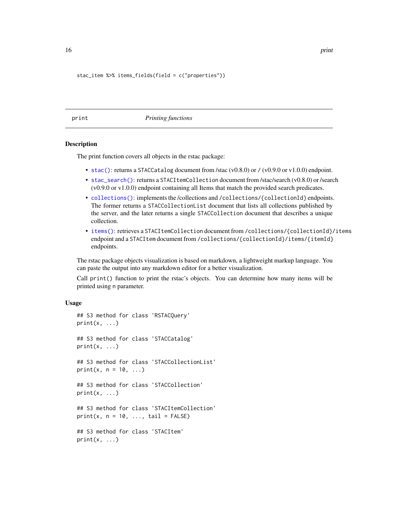```
stac_item %>% items_fields(field = c("properties"))
```
print *Printing functions*

#### Description

The print function covers all objects in the rstac package:

- [stac\(\)](#page-23-1): returns a STACCatalog document from /stac (v0.8.0) or / (v0.9.0 or v1.0.0) endpoint.
- [stac\\_search\(\)](#page-24-1): returns a STACItemCollection document from /stac/search (v0.8.0) or /search (v0.9.0 or v1.0.0) endpoint containing all Items that match the provided search predicates.
- [collections\(\)](#page-4-1): implements the /collections and /collections/{collectionId} endpoints. The former returns a STACCollectionList document that lists all collections published by the server, and the later returns a single STACCollection document that describes a unique collection.
- [items\(\)](#page-7-1): retrieves a STACItemCollection document from /collections/{collectionId}/items endpoint and a STACItem document from /collections/{collectionId}/items/{itemId} endpoints.

The rstac package objects visualization is based on markdown, a lightweight markup language. You can paste the output into any markdown editor for a better visualization.

Call print() function to print the rstac's objects. You can determine how many items will be printed using n parameter.

#### Usage

```
## S3 method for class 'RSTACQuery'
print(x, \ldots)## S3 method for class 'STACCatalog'
print(x, \ldots)## S3 method for class 'STACCollectionList'
print(x, n = 10, ...)## S3 method for class 'STACCollection'
print(x, \ldots)## S3 method for class 'STACItemCollection'
print(x, n = 10, ..., tail = FALSE)## S3 method for class 'STACItem'
print(x, \ldots)
```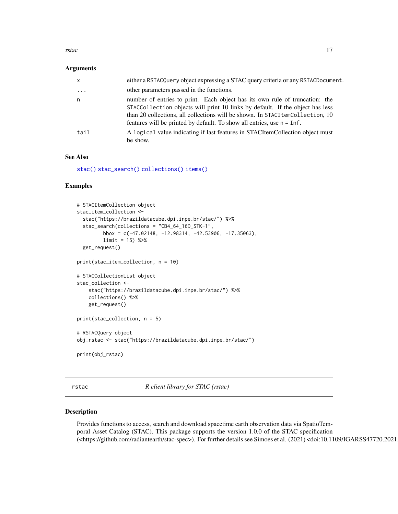#### <span id="page-16-0"></span>rstac in the contract of the contract of the contract of the contract of the contract of the contract of the contract of the contract of the contract of the contract of the contract of the contract of the contract of the c

#### **Arguments**

| $\mathsf{x}$ | either a RSTACQuery object expressing a STAC query criteria or any RSTACDocument.                                                                                                                                                                                                                                                  |
|--------------|------------------------------------------------------------------------------------------------------------------------------------------------------------------------------------------------------------------------------------------------------------------------------------------------------------------------------------|
| $\ddots$     | other parameters passed in the functions.                                                                                                                                                                                                                                                                                          |
| n            | number of entries to print. Each object has its own rule of truncation: the<br>STACCollection objects will print 10 links by default. If the object has less<br>than 20 collections, all collections will be shown. In STACI temCollection, 10<br>features will be printed by default. To show all entries, use $n = \text{Inf}$ . |
| tail         | A logical value indicating if last features in STACI temCollection object must<br>be show.                                                                                                                                                                                                                                         |

# See Also

[stac\(\)](#page-23-1) [stac\\_search\(\)](#page-24-1) [collections\(\)](#page-4-1) [items\(\)](#page-7-1)

# Examples

```
# STACItemCollection object
stac_item_collection <-
  stac("https://brazildatacube.dpi.inpe.br/stac/") %>%
  stac_search(collections = "CB4_64_16D_STK-1",
         bbox = c(-47.02148, -12.98314, -42.53906, -17.35063),
         limit = 15) %>%
  get_request()
print(stac_item_collection, n = 10)
# STACCollectionList object
stac_collection <-
    stac("https://brazildatacube.dpi.inpe.br/stac/") %>%
   collections() %>%
   get_request()
print(stac_collection, n = 5)
# RSTACQuery object
obj_rstac <- stac("https://brazildatacube.dpi.inpe.br/stac/")
print(obj_rstac)
```
rstac *R client library for STAC (rstac)*

# Description

Provides functions to access, search and download spacetime earth observation data via SpatioTemporal Asset Catalog (STAC). This package supports the version 1.0.0 of the STAC specification (<https://github.com/radiantearth/stac-spec>). For further details see Simoes et al. (2021) <doi:10.1109/IGARSS47720.2021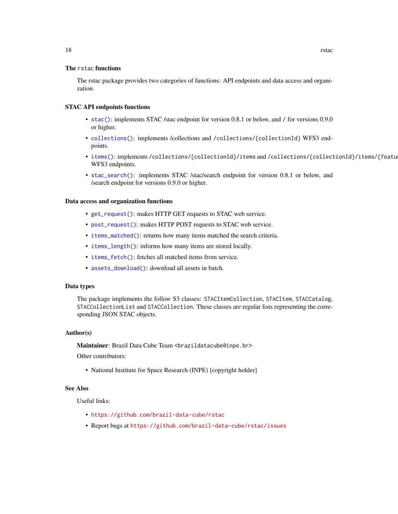#### <span id="page-17-0"></span>The rstac functions

The rstac package provides two categories of functions: API endpoints and data access and organization.

# STAC API endpoints functions

- [stac\(\)](#page-23-1): implements STAC /stac endpoint for version 0.8.1 or below, and / for versions 0.9.0 or higher.
- [collections\(\)](#page-4-1): implements /collections and /collections/{collectionId} WFS3 endpoints.
- [items\(\)](#page-7-1): implements /collections/{collectionId}/items and /collections/{collectionId}/items/{featu WFS3 endpoints.
- [stac\\_search\(\)](#page-24-1): implements STAC /stac/search endpoint for version 0.8.1 or below, and /search endpoint for versions 0.9.0 or higher.

#### Data access and organization functions

- [get\\_request\(\)](#page-6-1): makes HTTP GET requests to STAC web service.
- [post\\_request\(\)](#page-6-2): makes HTTP POST requests to STAC web service.
- [items\\_matched\(\)](#page-10-1): returns how many items matched the search criteria.
- [items\\_length\(\)](#page-10-1): informs how many items are stored locally.
- [items\\_fetch\(\)](#page-10-1): fetches all matched items from service.
- [assets\\_download\(\)](#page-1-1): download all assets in batch.

#### Data types

The package implements the follow S3 classes: STACItemCollection, STACItem, STACCatalog, STACCollectionList and STACCollection. These classes are regular lists representing the corresponding JSON STAC objects.

#### Author(s)

Maintainer: Brazil Data Cube Team <br />brazildatacube@inpe.br>

Other contributors:

• National Institute for Space Research (INPE) [copyright holder]

## See Also

Useful links:

- <https://github.com/brazil-data-cube/rstac>
- Report bugs at <https://github.com/brazil-data-cube/rstac/issues>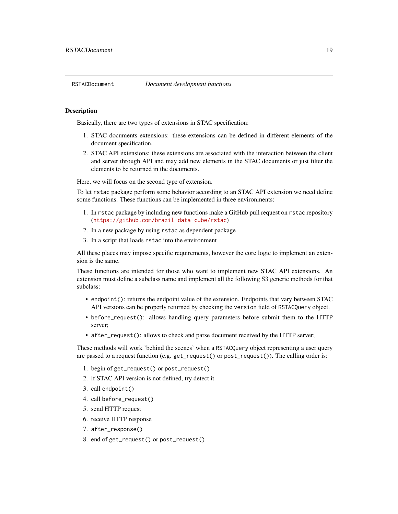<span id="page-18-1"></span><span id="page-18-0"></span>Basically, there are two types of extensions in STAC specification:

- 1. STAC documents extensions: these extensions can be defined in different elements of the document specification.
- 2. STAC API extensions: these extensions are associated with the interaction between the client and server through API and may add new elements in the STAC documents or just filter the elements to be returned in the documents.

Here, we will focus on the second type of extension.

To let rstac package perform some behavior according to an STAC API extension we need define some functions. These functions can be implemented in three environments:

- 1. In rstac package by including new functions make a GitHub pull request on rstac repository (<https://github.com/brazil-data-cube/rstac>)
- 2. In a new package by using rstac as dependent package
- 3. In a script that loads rstac into the environment

All these places may impose specific requirements, however the core logic to implement an extension is the same.

These functions are intended for those who want to implement new STAC API extensions. An extension must define a subclass name and implement all the following S3 generic methods for that subclass:

- endpoint(): returns the endpoint value of the extension. Endpoints that vary between STAC API versions can be properly returned by checking the version field of RSTACQuery object.
- before\_request(): allows handling query parameters before submit them to the HTTP server;
- after\_request(): allows to check and parse document received by the HTTP server;

These methods will work 'behind the scenes' when a RSTACQuery object representing a user query are passed to a request function (e.g. get\_request() or post\_request()). The calling order is:

- 1. begin of get\_request() or post\_request()
- 2. if STAC API version is not defined, try detect it
- 3. call endpoint()
- 4. call before\_request()
- 5. send HTTP request
- 6. receive HTTP response
- 7. after\_response()
- 8. end of get\_request() or post\_request()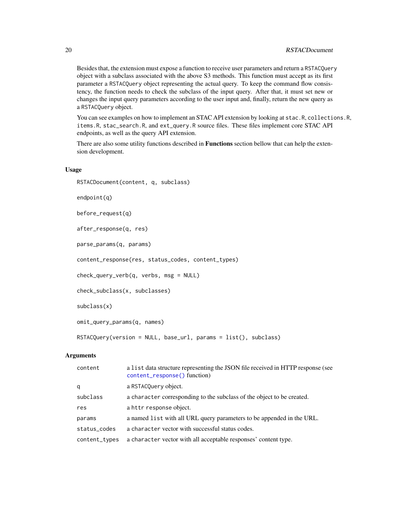Besides that, the extension must expose a function to receive user parameters and return a RSTACQuery object with a subclass associated with the above S3 methods. This function must accept as its first parameter a RSTACQuery object representing the actual query. To keep the command flow consistency, the function needs to check the subclass of the input query. After that, it must set new or changes the input query parameters according to the user input and, finally, return the new query as a RSTACQuery object.

You can see examples on how to implement an STAC API extension by looking at stac.R, collections.R, items.R, stac\_search.R, and ext\_query.R source files. These files implement core STAC API endpoints, as well as the query API extension.

There are also some utility functions described in **Functions** section bellow that can help the extension development.

#### Usage

```
RSTACDocument(content, q, subclass)
endpoint(q)
before_request(q)
after_response(q, res)
parse_params(q, params)
content_response(res, status_codes, content_types)
check_query_verb(q, verbs, msg = NULL)
check_subclass(x, subclasses)
subclass(x)
omit_query_params(q, names)
RSTACQuery(version = NULL, base_url, params = list(), subclass)
```
#### **Arguments**

| content       | a list data structure representing the JSON file received in HTTP response (see<br>content_response() function) |
|---------------|-----------------------------------------------------------------------------------------------------------------|
| q             | a RSTACQuery object.                                                                                            |
| subclass      | a character corresponding to the subclass of the object to be created.                                          |
| res           | a httr response object.                                                                                         |
| params        | a named list with all URL query parameters to be appended in the URL.                                           |
| status_codes  | a character vector with successful status codes.                                                                |
| content_types | a character vector with all acceptable responses' content type.                                                 |

<span id="page-19-0"></span>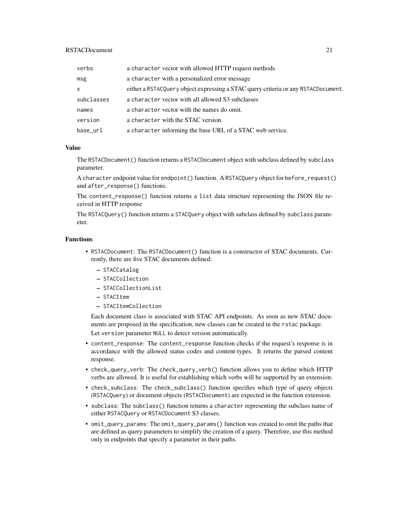#### RSTACDocument 21

| verbs      | a character vector with allowed HTTP request methods                              |
|------------|-----------------------------------------------------------------------------------|
| msg        | a character with a personalized error message                                     |
| X          | either a RSTACQuery object expressing a STAC query criteria or any RSTACDocument. |
| subclasses | a character vector with all allowed S3 subclasses                                 |
| names      | a character vector with the names do omit.                                        |
| version    | a character with the STAC version.                                                |
| base_url   | a character informing the base URL of a STAC web service.                         |

#### Value

The RSTACDocument() function returns a RSTACDocument object with subclass defined by subclass parameter.

A character endpoint value for endpoint() function. A RSTACQuery object for before\_request() and after\_response() functions.

The content\_response() function returns a list data structure representing the JSON file received in HTTP response

The RSTACQuery() function returns a STACQuery object with subclass defined by subclass parameter.

# Functions

- RSTACDocument: The RSTACDocument() function is a constructor of STAC documents. Currently, there are five STAC documents defined:
	- STACCatalog
	- STACCollection
	- STACCollectionList
	- STACItem
	- STACItemCollection

Each document class is associated with STAC API endpoints. As soon as new STAC documents are proposed in the specification, new classes can be created in the rstac package. Let version parameter NULL to detect version automatically.

- content\_response: The content\_response function checks if the request's response is in accordance with the allowed status codes and content-types. It returns the parsed content response.
- check\_query\_verb: The check\_query\_verb() function allows you to define which HTTP verbs are allowed. It is useful for establishing which verbs will be supported by an extension.
- check\_subclass: The check\_subclass() function specifies which type of query objects (RSTACQuery) or document objects (RSTACDocument) are expected in the function extension.
- subclass: The subclass() function returns a character representing the subclass name of either RSTACQuery or RSTACDocument S3 classes.
- omit\_query\_params: The omit\_query\_params() function was created to omit the paths that are defined as query parameters to simplify the creation of a query. Therefore, use this method only in endpoints that specify a parameter in their paths.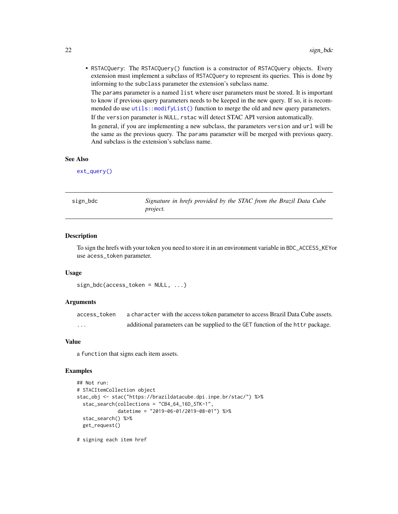<span id="page-21-0"></span>• RSTACQuery: The RSTACQuery() function is a constructor of RSTACQuery objects. Every extension must implement a subclass of RSTACQuery to represent its queries. This is done by informing to the subclass parameter the extension's subclass name.

The params parameter is a named list where user parameters must be stored. It is important to know if previous query parameters needs to be keeped in the new query. If so, it is recommended do use [utils::modifyList\(\)](#page-0-0) function to merge the old and new query parameters. If the version parameter is NULL, rstac will detect STAC API version automatically.

In general, if you are implementing a new subclass, the parameters version and url will be the same as the previous query. The params parameter will be merged with previous query. And subclass is the extension's subclass name.

#### See Also

[ext\\_query\(\)](#page-5-1)

| sign_bdc | Signature in hrefs provided by the STAC from the Brazil Data Cube |
|----------|-------------------------------------------------------------------|
|          | <i>project.</i>                                                   |

#### Description

To sign the hrefs with your token you need to store it in an environment variable in BDC\_ACCESS\_KEYor use acess\_token parameter.

#### Usage

```
sign_bdc(access_token = NULL, ...)
```
# Arguments

| access token | a character with the access token parameter to access Brazil Data Cube assets. |
|--------------|--------------------------------------------------------------------------------|
| .            | additional parameters can be supplied to the GET function of the httr package. |

#### Value

a function that signs each item assets.

#### Examples

```
## Not run:
# STACItemCollection object
stac_obj <- stac("https://brazildatacube.dpi.inpe.br/stac/") %>%
 stac_search(collections = "CB4_64_16D_STK-1",
              datetime = "2019-06-01/2019-08-01") %>%
 stac_search() %>%
 get_request()
```
# signing each item href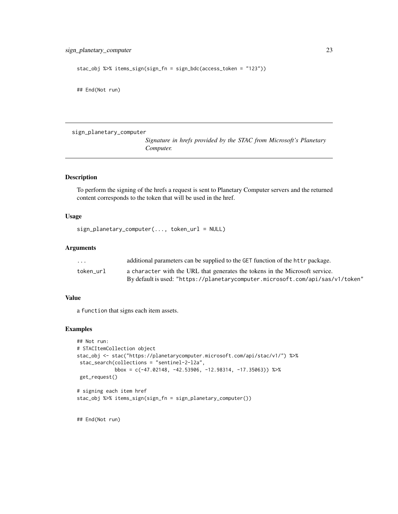```
stac_obj %>% items_sign(sign_fn = sign_bdc(access_token = "123"))
```
## End(Not run)

sign\_planetary\_computer

```
Signature in hrefs provided by the STAC from Microsoft's Planetary
Computer.
```
#### Description

To perform the signing of the hrefs a request is sent to Planetary Computer servers and the returned content corresponds to the token that will be used in the href.

#### Usage

```
sign_planetary_computer(..., token_url = NULL)
```
#### Arguments

| $\cdot$ $\cdot$ $\cdot$ | additional parameters can be supplied to the GET function of the http package. |
|-------------------------|--------------------------------------------------------------------------------|
| token url               | a character with the URL that generates the tokens in the Microsoft service.   |
|                         | By default is used: "https://planetarycomputer.microsoft.com/api/sas/v1/token' |

#### Value

a function that signs each item assets.

#### Examples

```
## Not run:
# STACItemCollection object
stac_obj <- stac("https://planetarycomputer.microsoft.com/api/stac/v1/") %>%
stac_search(collections = "sentinel-2-l2a",
             bbox = c(-47.02148, -42.53906, -12.98314, -17.35063)) %>%
get_request()
# signing each item href
stac_obj %>% items_sign(sign_fn = sign_planetary_computer())
```
## End(Not run)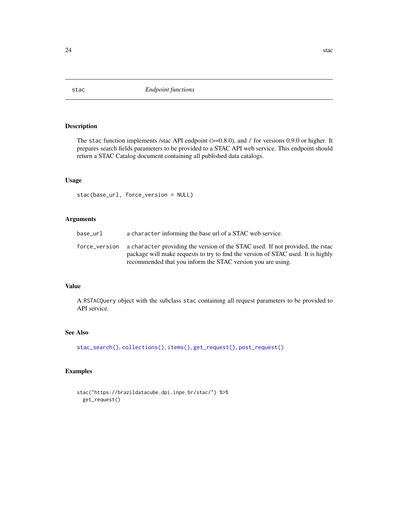The stac function implements /stac API endpoint (>=0.8.0), and / for versions 0.9.0 or higher. It prepares search fields parameters to be provided to a STAC API web service. This endpoint should return a STAC Catalog document containing all published data catalogs.

# Usage

stac(base\_url, force\_version = NULL)

#### Arguments

| base_url      | a character informing the base url of a STAC web service.                                                                                                                                                                         |
|---------------|-----------------------------------------------------------------------------------------------------------------------------------------------------------------------------------------------------------------------------------|
| force_version | a character providing the version of the STAC used. If not provided, the rstac<br>package will make requests to try to find the version of STAC used. It is highly<br>recommended that you inform the STAC version you are using. |

# Value

A RSTACQuery object with the subclass stac containing all request parameters to be provided to API service.

# See Also

```
stac_search(), collections(), items(), get_request(), post_request()
```
# Examples

```
stac("https://brazildatacube.dpi.inpe.br/stac/") %>%
 get_request()
```
<span id="page-23-1"></span><span id="page-23-0"></span> $24$  stac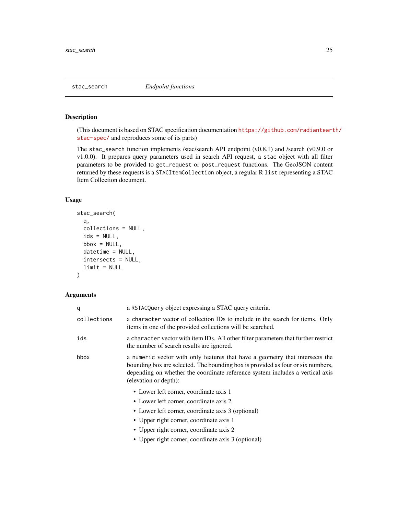<span id="page-24-1"></span><span id="page-24-0"></span>

(This document is based on STAC specification documentation [https://github.com/radianteart](https://github.com/radiantearth/stac-spec/)h/ [stac-spec/](https://github.com/radiantearth/stac-spec/) and reproduces some of its parts)

The stac\_search function implements /stac/search API endpoint (v0.8.1) and /search (v0.9.0 or v1.0.0). It prepares query parameters used in search API request, a stac object with all filter parameters to be provided to get\_request or post\_request functions. The GeoJSON content returned by these requests is a STACItemCollection object, a regular R list representing a STAC Item Collection document.

# Usage

```
stac_search(
  q,
  collections = NULL,
  ids = NULL,bbox = NULL,datetime = NULL,
  intersects = NULL,
  limit = NULL
\mathcal{L}
```
#### Arguments

| q           | a RSTACQuery object expressing a STAC query criteria.                                                                                                                                                                                                                     |
|-------------|---------------------------------------------------------------------------------------------------------------------------------------------------------------------------------------------------------------------------------------------------------------------------|
| collections | a character vector of collection IDs to include in the search for items. Only<br>items in one of the provided collections will be searched.                                                                                                                               |
| ids         | a character vector with item IDs. All other filter parameters that further restrict<br>the number of search results are ignored.                                                                                                                                          |
| bbox        | a numeric vector with only features that have a geometry that intersects the<br>bounding box are selected. The bounding box is provided as four or six numbers,<br>depending on whether the coordinate reference system includes a vertical axis<br>(elevation or depth): |
|             | • Lower left corner, coordinate axis 1                                                                                                                                                                                                                                    |
|             | • Lower left corner, coordinate axis 2                                                                                                                                                                                                                                    |
|             | • Lower left corner, coordinate axis 3 (optional)                                                                                                                                                                                                                         |
|             | • Upper right corner, coordinate axis 1                                                                                                                                                                                                                                   |
|             | • Upper right corner, coordinate axis 2                                                                                                                                                                                                                                   |
|             | • Upper right corner, coordinate axis 3 (optional)                                                                                                                                                                                                                        |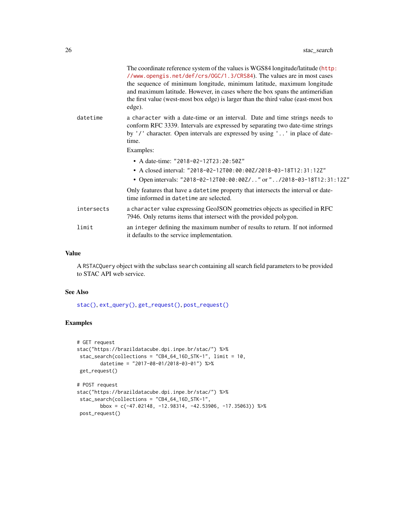<span id="page-25-0"></span>

|            | The coordinate reference system of the values is WGS84 longitude/latitude (http:<br>//www.opengis.net/def/crs/0GC/1.3/CRS84). The values are in most cases<br>the sequence of minimum longitude, minimum latitude, maximum longitude<br>and maximum latitude. However, in cases where the box spans the antimeridian<br>the first value (west-most box edge) is larger than the third value (east-most box<br>edge). |
|------------|----------------------------------------------------------------------------------------------------------------------------------------------------------------------------------------------------------------------------------------------------------------------------------------------------------------------------------------------------------------------------------------------------------------------|
| datetime   | a character with a date-time or an interval. Date and time strings needs to<br>conform RFC 3339. Intervals are expressed by separating two date-time strings<br>by '/' character. Open intervals are expressed by using '' in place of date-<br>time.                                                                                                                                                                |
|            | Examples:                                                                                                                                                                                                                                                                                                                                                                                                            |
|            | • A date-time: "2018-02-12T23:20:50Z"                                                                                                                                                                                                                                                                                                                                                                                |
|            | • A closed interval: "2018-02-12T00:00:00Z/2018-03-18T12:31:12Z"                                                                                                                                                                                                                                                                                                                                                     |
|            | • Open intervals: "2018-02-12T00:00:00Z/" or "/2018-03-18T12:31:12Z"                                                                                                                                                                                                                                                                                                                                                 |
|            | Only features that have a datetime property that intersects the interval or date-<br>time informed in datetime are selected.                                                                                                                                                                                                                                                                                         |
| intersects | a character value expressing GeoJSON geometries objects as specified in RFC<br>7946. Only returns items that intersect with the provided polygon.                                                                                                                                                                                                                                                                    |
| limit      | an integer defining the maximum number of results to return. If not informed<br>it defaults to the service implementation.                                                                                                                                                                                                                                                                                           |
|            |                                                                                                                                                                                                                                                                                                                                                                                                                      |

# Value

A RSTACQuery object with the subclass search containing all search field parameters to be provided to STAC API web service.

# See Also

[stac\(\)](#page-23-1), [ext\\_query\(\)](#page-5-1), [get\\_request\(\)](#page-6-1), [post\\_request\(\)](#page-6-2)

# Examples

```
# GET request
stac("https://brazildatacube.dpi.inpe.br/stac/") %>%
stac_search(collections = "CB4_64_16D_STK-1", limit = 10,
       datetime = "2017-08-01/2018-03-01") %>%
get_request()
# POST request
stac("https://brazildatacube.dpi.inpe.br/stac/") %>%
stac_search(collections = "CB4_64_16D_STK-1",
       bbox = c(-47.02148, -12.98314, -42.53906, -17.35063)) %>%
post_request()
```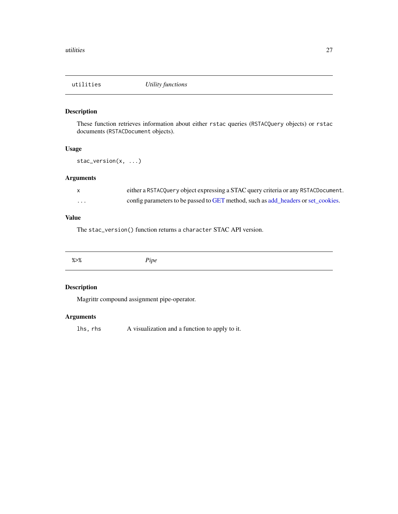<span id="page-26-0"></span>

These function retrieves information about either rstac queries (RSTACQuery objects) or rstac documents (RSTACDocument objects).

#### Usage

stac\_version(x, ...)

# Arguments

|   | either a RSTACQuery object expressing a STAC query criteria or any RSTACDocument.    |
|---|--------------------------------------------------------------------------------------|
| . | configure parameters to be passed to GET method, such as add headers or set cookies. |

# Value

The stac\_version() function returns a character STAC API version.

# Description

Magrittr compound assignment pipe-operator.

#### Arguments

lhs, rhs A visualization and a function to apply to it.